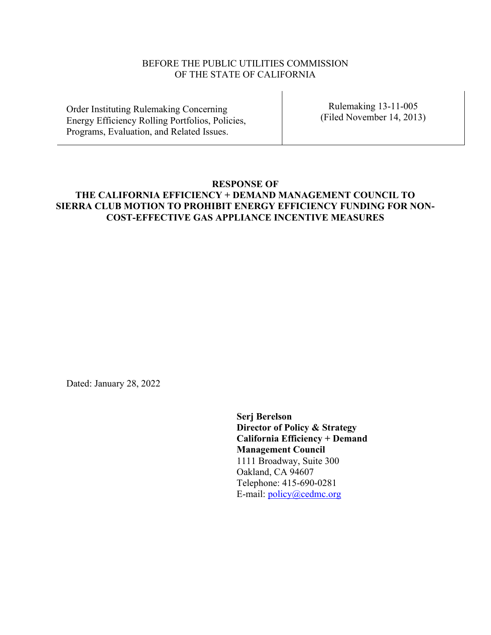## BEFORE THE PUBLIC UTILITIES COMMISSION OF THE STATE OF CALIFORNIA

Order Instituting Rulemaking Concerning Energy Efficiency Rolling Portfolios, Policies, Programs, Evaluation, and Related Issues.

Rulemaking 13-11-005 (Filed November 14, 2013)

# **RESPONSE OF THE CALIFORNIA EFFICIENCY + DEMAND MANAGEMENT COUNCIL TO SIERRA CLUB MOTION TO PROHIBIT ENERGY EFFICIENCY FUNDING FOR NON-COST-EFFECTIVE GAS APPLIANCE INCENTIVE MEASURES**

Dated: January 28, 2022

**Serj Berelson Director of Policy & Strategy California Efficiency + Demand Management Council** 1111 Broadway, Suite 300 Oakland, CA 94607 Telephone: 415-690-0281 E-mail: policy@cedmc.org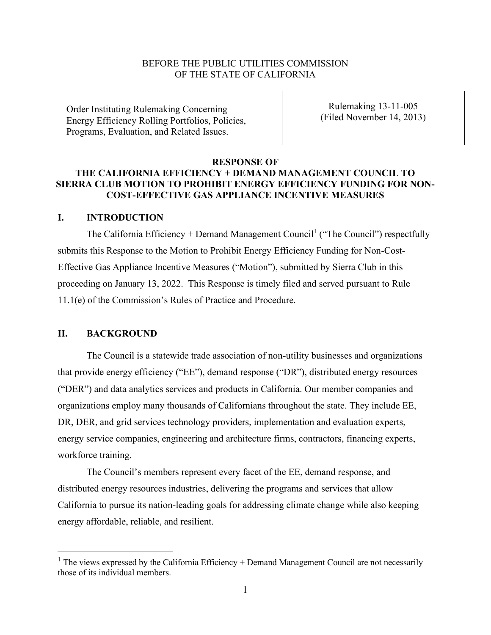### BEFORE THE PUBLIC UTILITIES COMMISSION OF THE STATE OF CALIFORNIA

Order Instituting Rulemaking Concerning Energy Efficiency Rolling Portfolios, Policies, Programs, Evaluation, and Related Issues.

Rulemaking 13-11-005 (Filed November 14, 2013)

#### **RESPONSE OF**

### **THE CALIFORNIA EFFICIENCY + DEMAND MANAGEMENT COUNCIL TO SIERRA CLUB MOTION TO PROHIBIT ENERGY EFFICIENCY FUNDING FOR NON-COST-EFFECTIVE GAS APPLIANCE INCENTIVE MEASURES**

### **I. INTRODUCTION**

The California Efficiency + Demand Management Council<sup>1</sup> ("The Council") respectfully submits this Response to the Motion to Prohibit Energy Efficiency Funding for Non-Cost-Effective Gas Appliance Incentive Measures ("Motion"), submitted by Sierra Club in this proceeding on January 13, 2022. This Response is timely filed and served pursuant to Rule 11.1(e) of the Commission's Rules of Practice and Procedure.

### **II. BACKGROUND**

The Council is a statewide trade association of non-utility businesses and organizations that provide energy efficiency ("EE"), demand response ("DR"), distributed energy resources ("DER") and data analytics services and products in California. Our member companies and organizations employ many thousands of Californians throughout the state. They include EE, DR, DER, and grid services technology providers, implementation and evaluation experts, energy service companies, engineering and architecture firms, contractors, financing experts, workforce training.

The Council's members represent every facet of the EE, demand response, and distributed energy resources industries, delivering the programs and services that allow California to pursue its nation-leading goals for addressing climate change while also keeping energy affordable, reliable, and resilient.

 $1$  The views expressed by the California Efficiency + Demand Management Council are not necessarily those of its individual members.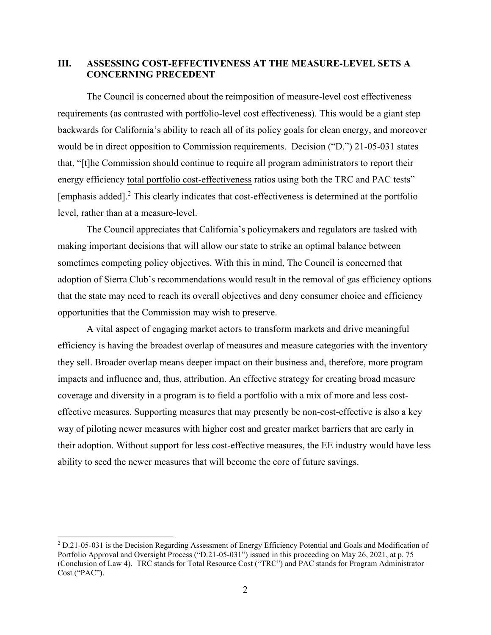## **III. ASSESSING COST-EFFECTIVENESS AT THE MEASURE-LEVEL SETS A CONCERNING PRECEDENT**

The Council is concerned about the reimposition of measure-level cost effectiveness requirements (as contrasted with portfolio-level cost effectiveness). This would be a giant step backwards for California's ability to reach all of its policy goals for clean energy, and moreover would be in direct opposition to Commission requirements. Decision ("D.") 21-05-031 states that, "[t]he Commission should continue to require all program administrators to report their energy efficiency total portfolio cost-effectiveness ratios using both the TRC and PAC tests" [emphasis added]. <sup>2</sup> This clearly indicates that cost-effectiveness is determined at the portfolio level, rather than at a measure-level.

The Council appreciates that California's policymakers and regulators are tasked with making important decisions that will allow our state to strike an optimal balance between sometimes competing policy objectives. With this in mind, The Council is concerned that adoption of Sierra Club's recommendations would result in the removal of gas efficiency options that the state may need to reach its overall objectives and deny consumer choice and efficiency opportunities that the Commission may wish to preserve.

A vital aspect of engaging market actors to transform markets and drive meaningful efficiency is having the broadest overlap of measures and measure categories with the inventory they sell. Broader overlap means deeper impact on their business and, therefore, more program impacts and influence and, thus, attribution. An effective strategy for creating broad measure coverage and diversity in a program is to field a portfolio with a mix of more and less costeffective measures. Supporting measures that may presently be non-cost-effective is also a key way of piloting newer measures with higher cost and greater market barriers that are early in their adoption. Without support for less cost-effective measures, the EE industry would have less ability to seed the newer measures that will become the core of future savings.

<sup>2</sup> D.21-05-031 is the Decision Regarding Assessment of Energy Efficiency Potential and Goals and Modification of Portfolio Approval and Oversight Process ("D.21-05-031") issued in this proceeding on May 26, 2021, at p. 75 (Conclusion of Law 4). TRC stands for Total Resource Cost ("TRC") and PAC stands for Program Administrator Cost ("PAC").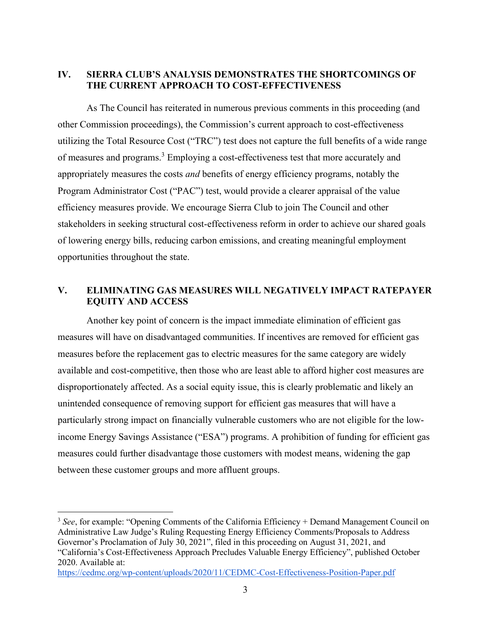# **IV. SIERRA CLUB'S ANALYSIS DEMONSTRATES THE SHORTCOMINGS OF THE CURRENT APPROACH TO COST-EFFECTIVENESS**

As The Council has reiterated in numerous previous comments in this proceeding (and other Commission proceedings), the Commission's current approach to cost-effectiveness utilizing the Total Resource Cost ("TRC") test does not capture the full benefits of a wide range of measures and programs.<sup>3</sup> Employing a cost-effectiveness test that more accurately and appropriately measures the costs *and* benefits of energy efficiency programs, notably the Program Administrator Cost ("PAC") test, would provide a clearer appraisal of the value efficiency measures provide. We encourage Sierra Club to join The Council and other stakeholders in seeking structural cost-effectiveness reform in order to achieve our shared goals of lowering energy bills, reducing carbon emissions, and creating meaningful employment opportunities throughout the state.

# **V. ELIMINATING GAS MEASURES WILL NEGATIVELY IMPACT RATEPAYER EQUITY AND ACCESS**

Another key point of concern is the impact immediate elimination of efficient gas measures will have on disadvantaged communities. If incentives are removed for efficient gas measures before the replacement gas to electric measures for the same category are widely available and cost-competitive, then those who are least able to afford higher cost measures are disproportionately affected. As a social equity issue, this is clearly problematic and likely an unintended consequence of removing support for efficient gas measures that will have a particularly strong impact on financially vulnerable customers who are not eligible for the lowincome Energy Savings Assistance ("ESA") programs. A prohibition of funding for efficient gas measures could further disadvantage those customers with modest means, widening the gap between these customer groups and more affluent groups.

<sup>&</sup>lt;sup>3</sup> See, for example: "Opening Comments of the California Efficiency + Demand Management Council on Administrative Law Judge's Ruling Requesting Energy Efficiency Comments/Proposals to Address Governor's Proclamation of July 30, 2021", filed in this proceeding on August 31, 2021, and "California's Cost-Effectiveness Approach Precludes Valuable Energy Efficiency", published October 2020. Available at:

<https://cedmc.org/wp-content/uploads/2020/11/CEDMC-Cost-Effectiveness-Position-Paper.pdf>